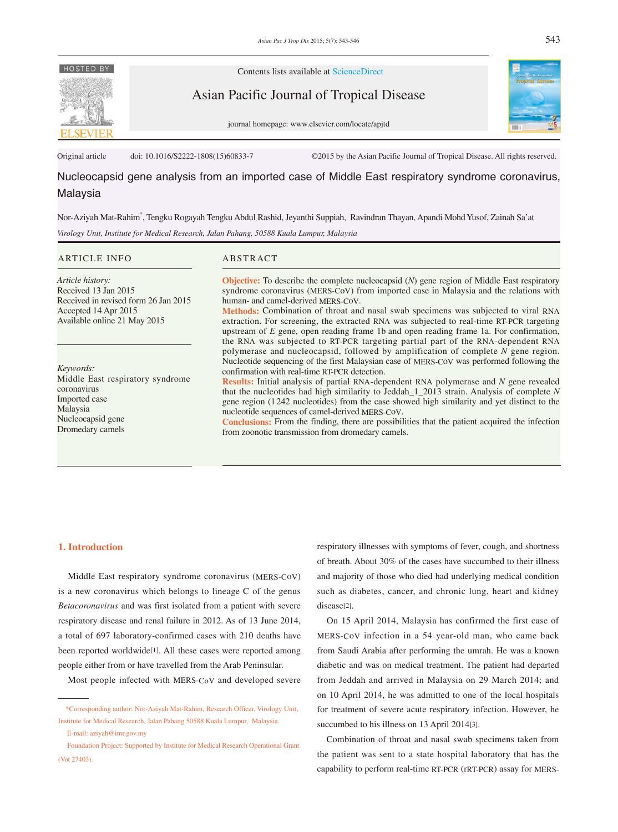

Contents lists available at ScienceDirect

Asian Pacific Journal of Tropical Disease





Original article doi: 10.1016/S2222-1808(15)60833-7 ©2015 by the Asian Pacific Journal of Tropical Disease. All rights reserved.

# Nucleocapsid gene analysis from an imported case of Middle East respiratory syndrome coronavirus, Malaysia

Nor-Aziyah Mat-Rahim\* , Tengku Rogayah Tengku Abdul Rashid, Jeyanthi Suppiah, Ravindran Thayan, Apandi Mohd Yusof, Zainah Sa'at

*Virology Unit, Institute for Medical Research, Jalan Pahang, 50588 Kuala Lumpur, Malaysia*

#### ARTICLE INFO ABSTRACT

*Article history:* Received 13 Jan 2015 Received in revised form 26 Jan 2015 Accepted 14 Apr 2015 Available online 21 May 2015

*Keywords:* Middle East respiratory syndrome coronavirus Imported case Malaysia Nucleocapsid gene Dromedary camels

**Objective:** To describe the complete nucleocapsid (*N*) gene region of Middle East respiratory syndrome coronavirus (MERS-CoV) from imported case in Malaysia and the relations with human- and camel-derived MERS-CoV.

**Methods:** Combination of throat and nasal swab specimens was subjected to viral RNA extraction. For screening, the extracted RNA was subjected to real-time RT-PCR targeting upstream of *E* gene, open reading frame 1b and open reading frame 1a. For confirmation, the RNA was subjected to RT-PCR targeting partial part of the RNA-dependent RNA polymerase and nucleocapsid, followed by amplification of complete *N* gene region. Nucleotide sequencing of the first Malaysian case of MERS-CoV was performed following the confirmation with real-time RT-PCR detection.

**Results:** Initial analysis of partial RNA-dependent RNA polymerase and *N* gene revealed that the nucleotides had high similarity to Jeddah\_1\_2013 strain. Analysis of complete *N* gene region (1242 nucleotides) from the case showed high similarity and yet distinct to the nucleotide sequences of camel-derived MERS-CoV.

**Conclusions:** From the finding, there are possibilities that the patient acquired the infection from zoonotic transmission from dromedary camels.

#### **1. Introduction**

 Middle East respiratory syndrome coronavirus (MERS-CoV) is a new coronavirus which belongs to lineage C of the genus *Betacoronavirus* and was first isolated from a patient with severe respiratory disease and renal failure in 2012. As of 13 June 2014, a total of 697 laboratory-confirmed cases with 210 deaths have been reported worldwide[1]. All these cases were reported among people either from or have travelled from the Arab Peninsular.

Most people infected with MERS-CoV and developed severe

E-mail: aziyah@imr.gov.my

respiratory illnesses with symptoms of fever, cough, and shortness of breath. About 30% of the cases have succumbed to their illness and majority of those who died had underlying medical condition such as diabetes, cancer, and chronic lung, heart and kidney disease[2].

 On 15 April 2014, Malaysia has confirmed the first case of MERS-CoV infection in a 54 year-old man, who came back from Saudi Arabia after performing the umrah. He was a known diabetic and was on medical treatment. The patient had departed from Jeddah and arrived in Malaysia on 29 March 2014; and on 10 April 2014, he was admitted to one of the local hospitals for treatment of severe acute respiratory infection. However, he succumbed to his illness on 13 April 2014[3].

 Combination of throat and nasal swab specimens taken from the patient was sent to a state hospital laboratory that has the capability to perform real-time RT-PCR (rRT-PCR) assay for MERS-

 <sup>\*</sup>Corresponding author: Nor-Aziyah Mat-Rahim, Research Officer, Virology Unit, Institute for Medical Research, Jalan Pahang 50588 Kuala Lumpur, Malaysia.

Foundation Project: Supported by Institute for Medical Research Operational Grant (Vot 27403).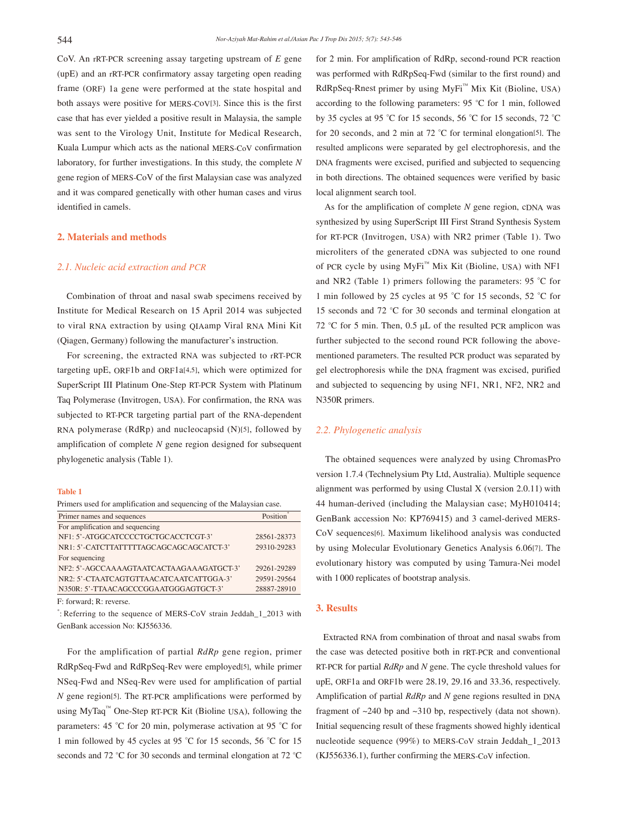CoV. An rRT-PCR screening assay targeting upstream of *E* gene (upE) and an rRT-PCR confirmatory assay targeting open reading frame (ORF) 1a gene were performed at the state hospital and both assays were positive for MERS-CoV[3]. Since this is the first case that has ever yielded a positive result in Malaysia, the sample was sent to the Virology Unit, Institute for Medical Research, Kuala Lumpur which acts as the national MERS-CoV confirmation laboratory, for further investigations. In this study, the complete *N* gene region of MERS-CoV of the first Malaysian case was analyzed and it was compared genetically with other human cases and virus identified in camels.

#### **2. Materials and methods**

#### *2.1. Nucleic acid extraction and PCR*

 Combination of throat and nasal swab specimens received by Institute for Medical Research on 15 April 2014 was subjected to viral RNA extraction by using QIAamp Viral RNA Mini Kit (Qiagen, Germany) following the manufacturer's instruction.

 For screening, the extracted RNA was subjected to rRT-PCR targeting upE, ORF1b and ORF1a[4,5], which were optimized for SuperScript III Platinum One-Step RT-PCR System with Platinum Taq Polymerase (Invitrogen, USA). For confirmation, the RNA was subjected to RT-PCR targeting partial part of the RNA-dependent RNA polymerase (RdRp) and nucleocapsid (N)[5], followed by amplification of complete *N* gene region designed for subsequent phylogenetic analysis (Table 1).

#### **Table 1**

| Primers used for amplification and sequencing of the Malaysian case. |             |
|----------------------------------------------------------------------|-------------|
| Primer names and sequences                                           | Position    |
| For amplification and sequencing                                     |             |
| NF1: 5'-ATGGCATCCCCTGCTGCACCTCGT-3'                                  | 28561-28373 |
| NR1: 5'-CATCTTATTTTTAGCAGCAGCAGCATCT-3'                              | 29310-29283 |
| For sequencing                                                       |             |
| NF2: 5'-AGCCAAAAGTAATCACTAAGAAAGATGCT-3'                             | 29261-29289 |
| NR <sub>2</sub> : 5'-CTAATCAGTGTTAACATCAATCATTGGA-3'                 | 29591-29564 |
| N350R: 5'-TTAACAGCCCGGAATGGGAGTGCT-3'                                | 28887-28910 |

F: forward; R: reverse.

\* : Referring to the sequence of MERS-CoV strain Jeddah\_1\_2013 with GenBank accession No: KJ556336.

 For the amplification of partial *RdRp* gene region, primer RdRpSeq-Fwd and RdRpSeq-Rev were employed[5], while primer NSeq-Fwd and NSeq-Rev were used for amplification of partial *N* gene region<sup>[5]</sup>. The RT-PCR amplifications were performed by using MyTaq™ One-Step RT-PCR Kit (Bioline USA), following the parameters: 45 °C for 20 min, polymerase activation at 95 °C for 1 min followed by 45 cycles at 95 °C for 15 seconds, 56 °C for 15 seconds and 72 °C for 30 seconds and terminal elongation at 72 °C for 2 min. For amplification of RdRp, second-round PCR reaction was performed with RdRpSeq-Fwd (similar to the first round) and RdRpSeq-Rnest primer by using MyFi™ Mix Kit (Bioline, USA) according to the following parameters: 95 °C for 1 min, followed by 35 cycles at 95 °C for 15 seconds, 56 °C for 15 seconds, 72 °C for 20 seconds, and 2 min at 72 °C for terminal elongation[5]. The resulted amplicons were separated by gel electrophoresis, and the DNA fragments were excised, purified and subjected to sequencing in both directions. The obtained sequences were verified by basic local alignment search tool.

 As for the amplification of complete *N* gene region, cDNA was synthesized by using SuperScript III First Strand Synthesis System for RT-PCR (Invitrogen, USA) with NR2 primer (Table 1). Two microliters of the generated cDNA was subjected to one round of PCR cycle by using MyFi™ Mix Kit (Bioline, USA) with NF1 and NR2 (Table 1) primers following the parameters: 95 °C for 1 min followed by 25 cycles at 95 °C for 15 seconds, 52 °C for 15 seconds and 72 °C for 30 seconds and terminal elongation at 72 °C for 5 min. Then, 0.5 μL of the resulted PCR amplicon was further subjected to the second round PCR following the abovementioned parameters. The resulted PCR product was separated by gel electrophoresis while the DNA fragment was excised, purified and subjected to sequencing by using NF1, NR1, NF2, NR2 and N350R primers.

### *2.2. Phylogenetic analysis*

 The obtained sequences were analyzed by using ChromasPro version 1.7.4 (Technelysium Pty Ltd, Australia). Multiple sequence alignment was performed by using Clustal X (version 2.0.11) with 44 human-derived (including the Malaysian case; MyH010414; GenBank accession No: KP769415) and 3 camel-derived MERS-CoV sequences[6]. Maximum likelihood analysis was conducted by using Molecular Evolutionary Genetics Analysis 6.06[7]. The evolutionary history was computed by using Tamura-Nei model with 1 000 replicates of bootstrap analysis.

## **3. Results**

 Extracted RNA from combination of throat and nasal swabs from the case was detected positive both in rRT-PCR and conventional RT-PCR for partial *RdRp* and *N* gene. The cycle threshold values for upE, ORF1a and ORF1b were 28.19, 29.16 and 33.36, respectively. Amplification of partial *RdRp* and *N* gene regions resulted in DNA fragment of ~240 bp and ~310 bp, respectively (data not shown). Initial sequencing result of these fragments showed highly identical nucleotide sequence (99%) to MERS-CoV strain Jeddah\_1\_2013 (KJ556336.1), further confirming the MERS-CoV infection.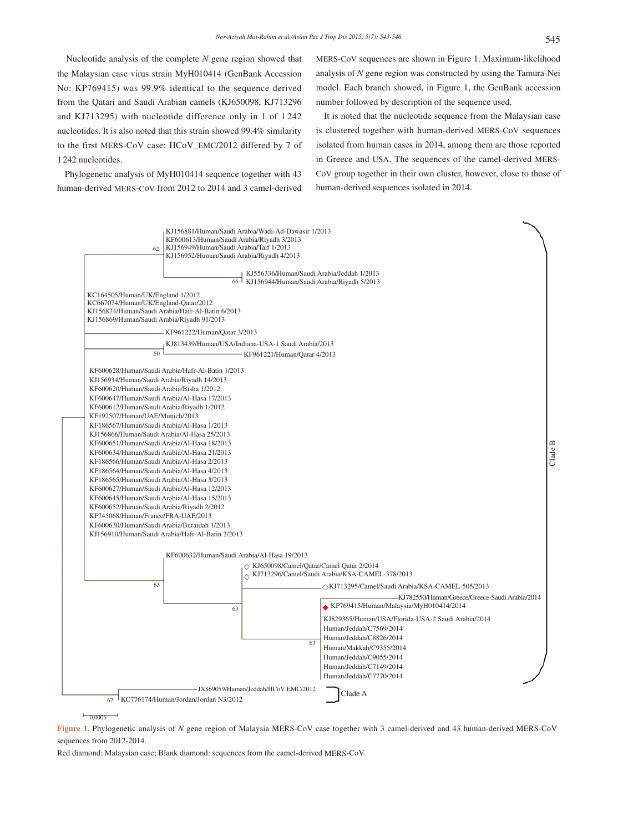Nucleotide analysis of the complete *N* gene region showed that the Malaysian case virus strain MyH010414 (GenBank Accession No: KP769415) was 99.9% identical to the sequence derived from the Qatari and Saudi Arabian camels (KJ650098, KJ713296 and KJ713295) with nucleotide difference only in 1 of 1 242 nucleotides. It is also noted that this strain showed 99.4% similarity to the first MERS-CoV case: HCoV\_EMC/2012 differed by 7 of 1 242 nucleotides.

 Phylogenetic analysis of MyH010414 sequence together with 43 human-derived MERS-CoV from 2012 to 2014 and 3 camel-derived MERS-CoV sequences are shown in Figure 1. Maximum-likelihood analysis of *N* gene region was constructed by using the Tamura-Nei model. Each branch showed, in Figure 1, the GenBank accession number followed by description of the sequence used.

 It is noted that the nucleotide sequence from the Malaysian case is clustered together with human-derived MERS-CoV sequences isolated from human cases in 2014, among them are those reported in Greece and USA. The sequences of the camel-derived MERS-CoV group together in their own cluster, however, close to those of human-derived sequences isolated in 2014.



 $\frac{1}{0.0005}$ 

**Figure 1.** Phylogenetic analysis of *N* gene region of Malaysia MERS-CoV case together with 3 camel-derived and 43 human-derived MERS-CoV sequences from 2012-2014.

Red diamond: Malaysian case; Blank diamond: sequences from the camel-derived MERS-CoV.